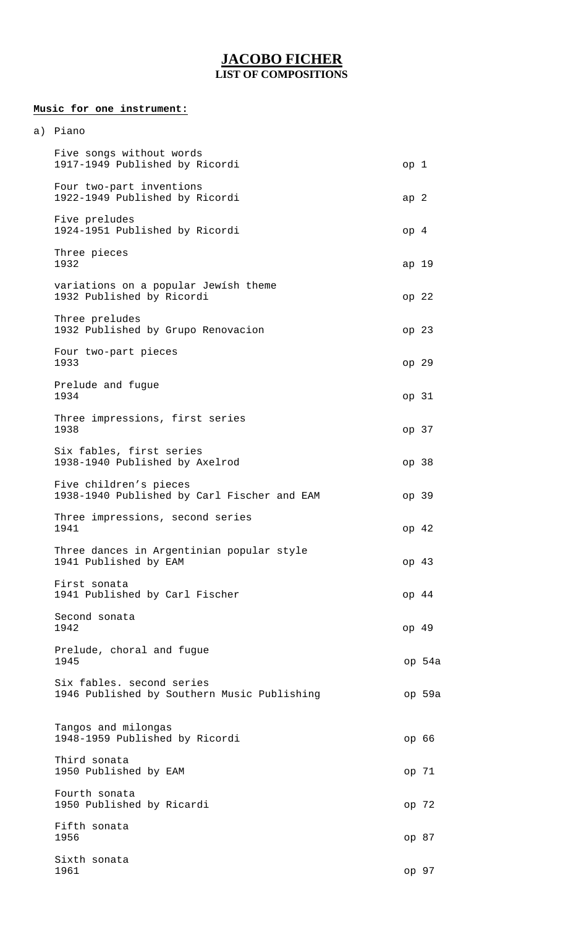## **JACOBO FICHER LIST OF COMPOSITIONS**

## **Music for one instrument:**

| a) | Piano                                                                    |                 |                  |
|----|--------------------------------------------------------------------------|-----------------|------------------|
|    | Five songs without words<br>1917-1949 Published by Ricordi               | op 1            |                  |
|    | Four two-part inventions<br>1922-1949 Published by Ricordi               | ap <sub>2</sub> |                  |
|    | Five preludes<br>1924-1951 Published by Ricordi                          | op <sub>4</sub> |                  |
|    | Three pieces<br>1932                                                     | ap 19           |                  |
|    | variations on a popular Jewish theme<br>1932 Published by Ricordi        |                 | op <sub>22</sub> |
|    | Three preludes<br>1932 Published by Grupo Renovacion                     |                 | op <sub>23</sub> |
|    | Four two-part pieces<br>1933                                             |                 | op 29            |
|    | Prelude and fugue<br>1934                                                |                 | op 31            |
|    | Three impressions, first series<br>1938                                  |                 | op 37            |
|    | Six fables, first series<br>1938-1940 Published by Axelrod               |                 | op 38            |
|    | Five children's pieces<br>1938-1940 Published by Carl Fischer and EAM    |                 | op 39            |
|    | Three impressions, second series<br>1941                                 | op 42           |                  |
|    | Three dances in Argentinian popular style<br>1941 Published by EAM       |                 | op 43            |
|    | First sonata<br>1941 Published by Carl Fischer                           |                 | op <sub>44</sub> |
|    | Second sonata<br>1942                                                    |                 | op <sub>49</sub> |
|    | Prelude, choral and fugue<br>1945                                        |                 | op 54a           |
|    | Six fables. second series<br>1946 Published by Southern Music Publishing |                 | op 59a           |
|    | Tangos and milongas<br>1948-1959 Published by Ricordi                    |                 | ор 66            |
|    | Third sonata<br>1950 Published by EAM                                    |                 | op 71            |
|    | Fourth sonata<br>1950 Published by Ricardi                               |                 | op 72            |
|    | Fifth sonata<br>1956                                                     |                 | op 87            |
|    | Sixth sonata<br>1961                                                     |                 | op 97            |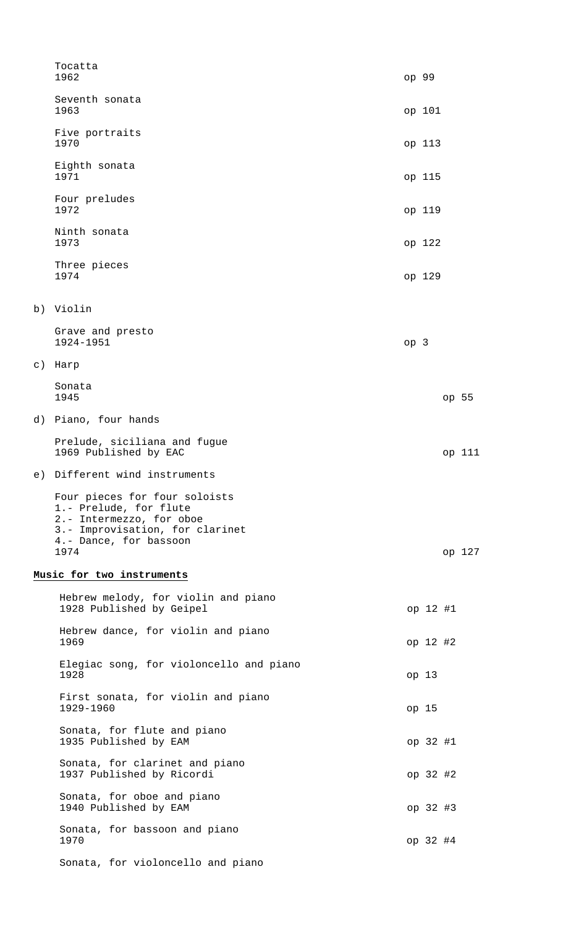|         | Tocatta<br>1962                                                                                                                                          |                 | op 99            |          |        |
|---------|----------------------------------------------------------------------------------------------------------------------------------------------------------|-----------------|------------------|----------|--------|
|         | Seventh sonata<br>1963                                                                                                                                   |                 | op 101           |          |        |
|         | Five portraits<br>1970                                                                                                                                   |                 | op 113           |          |        |
|         | Eighth sonata<br>1971                                                                                                                                    |                 | op 115           |          |        |
|         | Four preludes<br>1972                                                                                                                                    |                 | op 119           |          |        |
|         | Ninth sonata<br>1973                                                                                                                                     |                 | op 122           |          |        |
|         | Three pieces<br>1974                                                                                                                                     |                 | op 129           |          |        |
|         | b) Violin                                                                                                                                                |                 |                  |          |        |
|         | Grave and presto<br>1924-1951                                                                                                                            | op <sub>3</sub> |                  |          |        |
| $\in$ ) | Harp                                                                                                                                                     |                 |                  |          |        |
|         | Sonata<br>1945                                                                                                                                           |                 |                  |          | op 55  |
|         | d) Piano, four hands                                                                                                                                     |                 |                  |          |        |
|         | Prelude, siciliana and fugue<br>1969 Published by EAC                                                                                                    |                 |                  |          | op 111 |
|         | e) Different wind instruments                                                                                                                            |                 |                  |          |        |
|         | Four pieces for four soloists<br>1.- Prelude, for flute<br>2.- Intermezzo, for oboe<br>3.- Improvisation, for clarinet<br>4.- Dance, for bassoon<br>1974 |                 |                  |          | op 127 |
|         | Music for two instruments                                                                                                                                |                 |                  |          |        |
|         | Hebrew melody, for violin and piano<br>1928 Published by Geipel                                                                                          |                 |                  | op 12 #1 |        |
|         | Hebrew dance, for violin and piano<br>1969                                                                                                               |                 |                  | op 12 #2 |        |
|         | Elegiac song, for violoncello and piano<br>1928                                                                                                          |                 | op <sub>13</sub> |          |        |
|         | First sonata, for violin and piano<br>1929-1960                                                                                                          |                 | op 15            |          |        |
|         | Sonata, for flute and piano<br>1935 Published by EAM                                                                                                     |                 |                  | op 32 #1 |        |
|         | Sonata, for clarinet and piano<br>1937 Published by Ricordi                                                                                              |                 |                  | op 32 #2 |        |
|         | Sonata, for oboe and piano<br>1940 Published by EAM                                                                                                      |                 |                  | op 32 #3 |        |
|         | Sonata, for bassoon and piano<br>1970                                                                                                                    |                 |                  | op 32 #4 |        |
|         | Sonata, for violoncello and piano                                                                                                                        |                 |                  |          |        |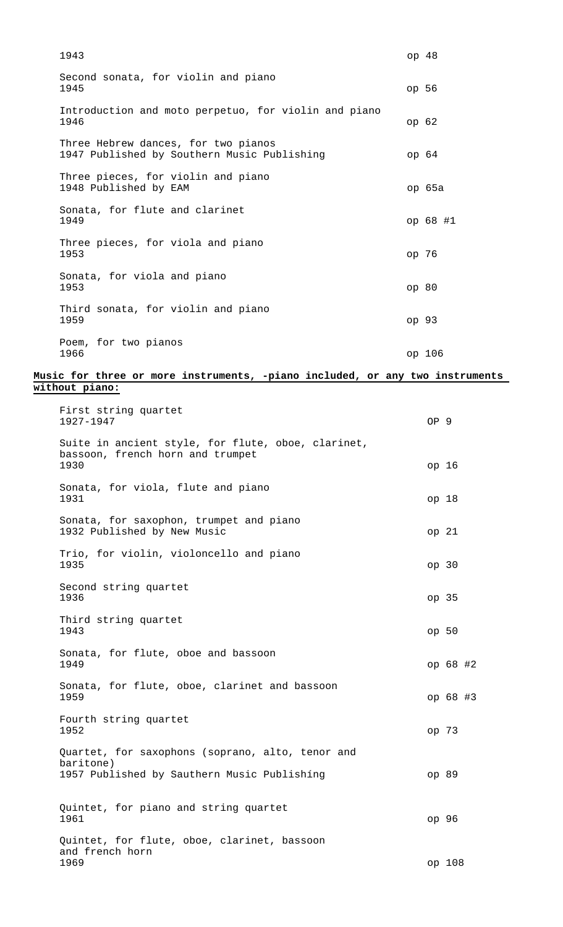| 1943                                                                               | op <sub>48</sub> |
|------------------------------------------------------------------------------------|------------------|
| Second sonata, for violin and piano<br>1945                                        | op 56            |
| Introduction and moto perpetuo, for violin and piano<br>1946                       | op 62            |
| Three Hebrew dances, for two pianos<br>1947 Published by Southern Music Publishing | op 64            |
| Three pieces, for violin and piano<br>1948 Published by EAM                        | op 65a           |
| Sonata, for flute and clarinet<br>1949                                             | op 68 #1         |
| Three pieces, for viola and piano<br>1953                                          | ор 76            |
| Sonata, for viola and piano<br>1953                                                | op80             |
| Third sonata, for violin and piano<br>1959                                         | op 93            |
| Poem, for two pianos<br>1966                                                       | op 106           |

## **Music for three or more instruments, -piano included, or any two instruments without piano:**

| First string quartet<br>1927-1947                                                              | OP <sub>9</sub> |                  |  |
|------------------------------------------------------------------------------------------------|-----------------|------------------|--|
| Suite in ancient style, for flute, oboe, clarinet,<br>bassoon, french horn and trumpet<br>1930 |                 | op 16            |  |
| Sonata, for viola, flute and piano<br>1931                                                     |                 | op 18            |  |
| Sonata, for saxophon, trumpet and piano<br>1932 Published by New Music                         |                 | op 21            |  |
| Trio, for violin, violoncello and piano<br>1935                                                |                 | op 30            |  |
| Second string quartet<br>1936                                                                  |                 | op <sub>35</sub> |  |
| Third string quartet<br>1943                                                                   |                 | op 50            |  |
| Sonata, for flute, oboe and bassoon<br>1949                                                    |                 | op 68 #2         |  |
| Sonata, for flute, oboe, clarinet and bassoon<br>1959                                          |                 | op 68 #3         |  |
| Fourth string quartet<br>1952                                                                  |                 | op 73            |  |
| Quartet, for saxophons (soprano, alto, tenor and                                               |                 |                  |  |
| baritone)<br>1957 Published by Sauthern Music Publishing                                       |                 | op 89            |  |
| Quintet, for piano and string quartet<br>1961                                                  |                 | op 96            |  |
| Quintet, for flute, oboe, clarinet, bassoon<br>and french horn<br>1969                         |                 | op 108           |  |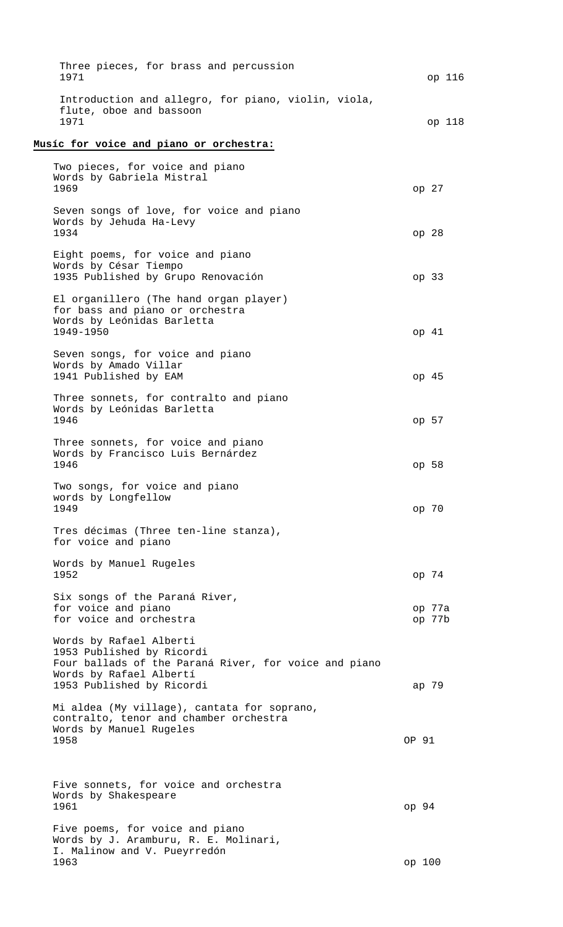| Three pieces, for brass and percussion<br>1971                                                                                                                        | op 116           |
|-----------------------------------------------------------------------------------------------------------------------------------------------------------------------|------------------|
| Introduction and allegro, for piano, violin, viola,<br>flute, oboe and bassoon<br>1971                                                                                | op 118           |
| Musíc for voice and piano or orchestra:                                                                                                                               |                  |
| Two pieces, for voice and piano<br>Words by Gabriela Mistral<br>1969                                                                                                  | op 27            |
| Seven songs of love, for voice and piano<br>Words by Jehuda Ha-Levy<br>1934                                                                                           | op <sub>28</sub> |
| Eight poems, for voice and piano<br>Words by César Tiempo<br>1935 Published by Grupo Renovación                                                                       | op <sub>33</sub> |
| El organillero (The hand organ player)<br>for bass and piano or orchestra<br>Words by Leónidas Barletta<br>1949-1950                                                  | op 41            |
| Seven songs, for voice and piano<br>Words by Amado Villar                                                                                                             |                  |
| 1941 Published by EAM<br>Three sonnets, for contralto and piano<br>Words by Leónidas Barletta                                                                         | op 45            |
| 1946<br>Three sonnets, for voice and piano<br>Words by Francisco Luis Bernárdez                                                                                       | op 57            |
| 1946<br>Two songs, for voice and piano<br>words by Longfellow                                                                                                         | op 58            |
| 1949<br>Tres décimas (Three ten-line stanza),<br>for voice and piano                                                                                                  | op 70            |
| Words by Manuel Rugeles<br>1952                                                                                                                                       | op 74            |
| Six songs of the Paraná River,<br>for voice and piano<br>for voice and orchestra                                                                                      | op 77a<br>op 77b |
| Words by Rafael Alberti<br>1953 Published by Ricordi<br>Four ballads of the Paraná River, for voice and piano<br>Words by Rafael Albertí<br>1953 Published by Ricordi | ap 79            |
| Mi aldea (My village), cantata for soprano,<br>contralto, tenor and chamber orchestra<br>Words by Manuel Rugeles                                                      |                  |
| 1958                                                                                                                                                                  | OP 91            |
| Five sonnets, for voice and orchestra<br>Words by Shakespeare<br>1961                                                                                                 | op <sub>94</sub> |
| Five poems, for voice and piano<br>Words by J. Aramburu, R. E. Molinari,<br>I. Malinow and V. Pueyrredón                                                              |                  |
| 1963                                                                                                                                                                  | op 100           |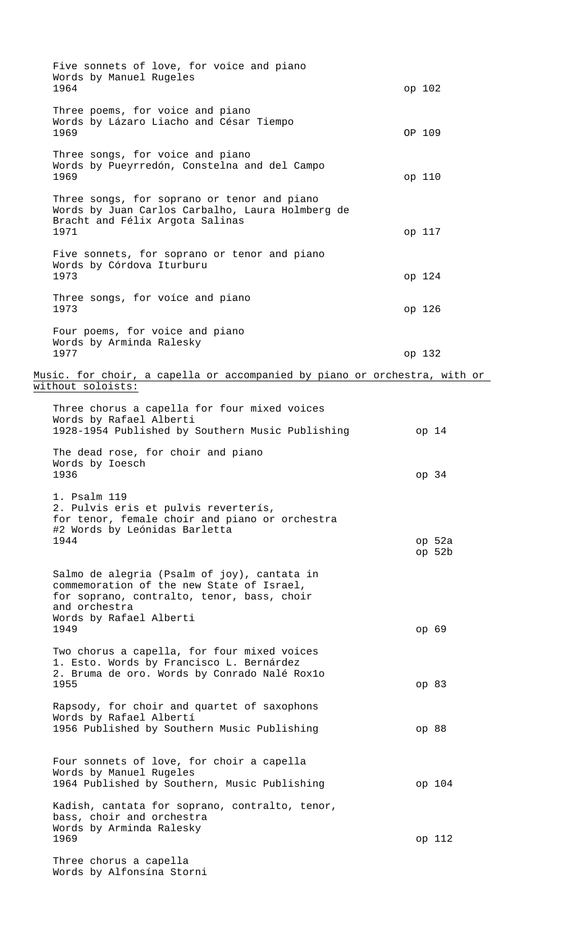| Five sonnets of love, for voice and piano<br>Words by Manuel Rugeles<br>1964                                                                            | op 102           |
|---------------------------------------------------------------------------------------------------------------------------------------------------------|------------------|
| Three poems, for voice and piano<br>Words by Lázaro Liacho and César Tiempo<br>1969                                                                     | OP 109           |
| Three songs, for voice and piano<br>Words by Pueyrredón, Constelna and del Campo<br>1969                                                                | op 110           |
| Three songs, for soprano or tenor and piano<br>Words by Juan Carlos Carbalho, Laura Holmberg de<br>Bracht and Félix Argota Salinas<br>1971              | op 117           |
| Five sonnets, for soprano or tenor and piano<br>Words by Córdova Iturburu<br>1973                                                                       | op 124           |
| Three songs, for voice and piano<br>1973                                                                                                                | op 126           |
| Four poems, for voice and piano<br>Words by Arminda Ralesky<br>1977                                                                                     | op 132           |
| Music. for choir, a capella or accompanied by piano or orchestra, with or                                                                               |                  |
| without soloists:                                                                                                                                       |                  |
| Three chorus a capella for four mixed voices<br>Words by Rafael Alberti<br>1928-1954 Published by Southern Music Publishing                             | op 14            |
| The dead rose, for choir and piano<br>Words by Ioesch<br>1936                                                                                           | op 34            |
| 1. Psalm 119<br>2. Pulvis eris et pulvis reverterís,<br>for tenor, female choir and piano or orchestra<br>#2 Words by Leónidas Barletta<br>1944         | op 52a<br>op 52b |
| Salmo de alegria (Psalm of joy), cantata in<br>commemoration of the new State of Israel,<br>for soprano, contralto, tenor, bass, choir<br>and orchestra |                  |
| Words by Rafael Alberti<br>1949                                                                                                                         | op 69            |
| Two chorus a capella, for four mixed voices<br>1. Esto. Words by Francisco L. Bernárdez<br>2. Bruma de oro. Words by Conrado Nalé Roxlo<br>1955         | op 83            |
| Rapsody, for choir and quartet of saxophons<br>Words by Rafael Albertí                                                                                  |                  |
| 1956 Published by Southern Music Publishing                                                                                                             | op 88            |
| Four sonnets of love, for choir a capella<br>Words by Manuel Rugeles<br>1964 Published by Southern, Music Publishing                                    | op 104           |
| Kadish, cantata for soprano, contralto, tenor,<br>bass, choir and orchestra                                                                             |                  |
| Words by Arminda Ralesky<br>1969                                                                                                                        | op 112           |
| Three chorus a capella<br>Words by Alfonsína Storni                                                                                                     |                  |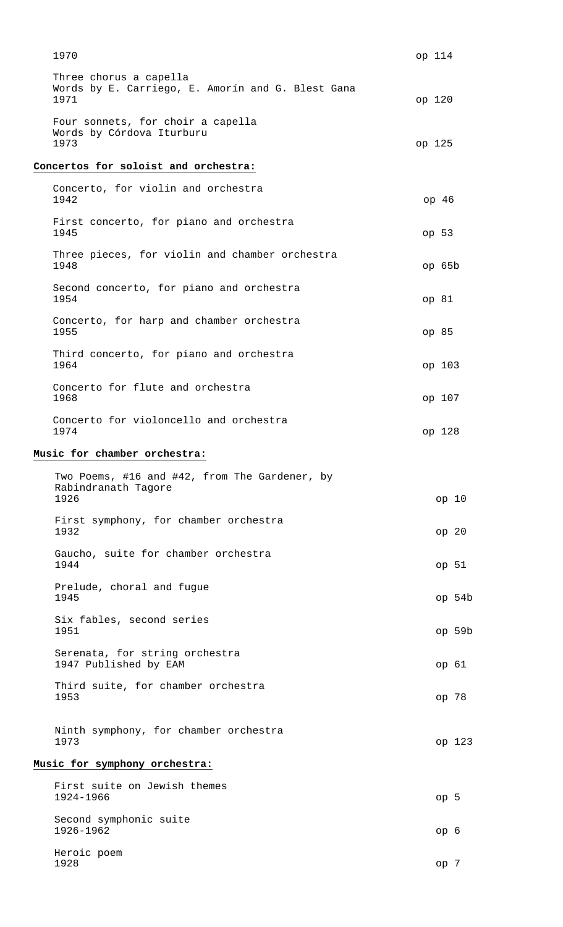| 1970                                                                                | op 114           |
|-------------------------------------------------------------------------------------|------------------|
| Three chorus a capella<br>Words by E. Carriego, E. Amorín and G. Blest Gana<br>1971 | op 120           |
| Four sonnets, for choir a capella<br>Words by Córdova Iturburu<br>1973              | op 125           |
| Concertos for soloist and orchestra:                                                |                  |
| Concerto, for violin and orchestra<br>1942                                          | op 46            |
| First concerto, for piano and orchestra<br>1945                                     | op 53            |
| Three pieces, for violin and chamber orchestra<br>1948                              | op 65b           |
| Second concerto, for piano and orchestra<br>1954                                    | op 81            |
| Concerto, for harp and chamber orchestra<br>1955                                    | op 85            |
| Third concerto, for piano and orchestra<br>1964                                     | op 103           |
| Concerto for flute and orchestra<br>1968                                            | op 107           |
| Concerto for violoncello and orchestra<br>1974                                      | op 128           |
| Music for chamber orchestra:                                                        |                  |
| Two Poems, #16 and #42, from The Gardener, by<br>Rabindranath Tagore<br>1926        | op 10            |
| First symphony, for chamber orchestra<br>1932                                       | op <sub>20</sub> |
| Gaucho, suite for chamber orchestra<br>1944                                         | op 51            |
| Prelude, choral and fugue<br>1945                                                   | op 54b           |
| Six fables, second series<br>1951                                                   | op 59b           |
| Serenata, for string orchestra<br>1947 Published by EAM                             | op 61            |
| Third suite, for chamber orchestra<br>1953                                          | op 78            |
| Ninth symphony, for chamber orchestra<br>1973                                       | op 123           |
| Music for symphony orchestra:                                                       |                  |
| First suite on Jewish themes<br>1924-1966                                           | op 5             |
| Second symphonic suite<br>1926-1962                                                 | op <sub>6</sub>  |
| Heroic poem<br>1928                                                                 | op 7             |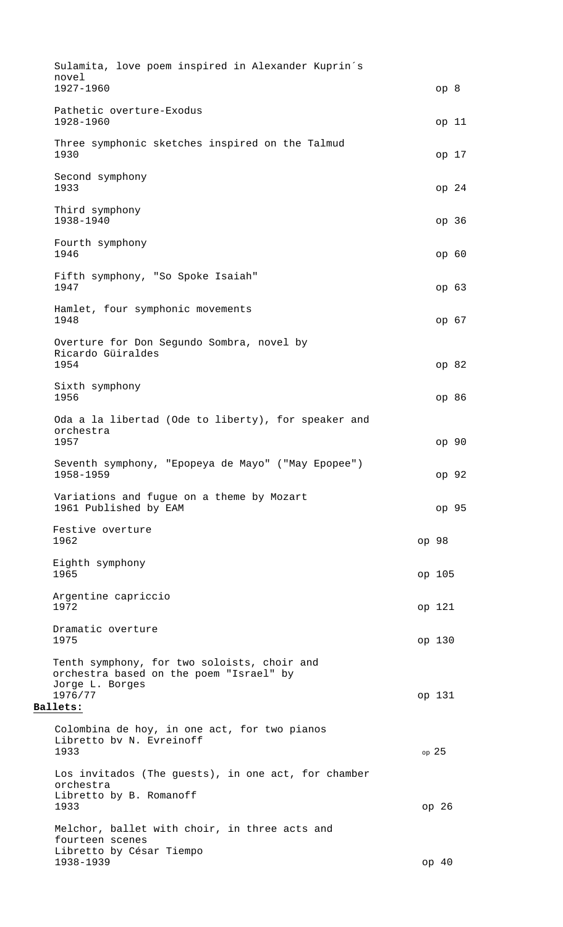Sulamita, love poem inspired in Alexander Kuprin´s novel 1927-1960 op 8 Pathetic overture-Exodus 1928-1960 op 11 Three symphonic sketches inspired on the Talmud 1930 op 17 Second symphony 1933 op 24 Third symphony 1938-1940 op 36 Fourth symphony 1946 op 60 Fifth symphony, "So Spoke Isaiah" 1947 op 63 Hamlet, four symphonic movements 1948 op 67 Overture for Don Segundo Sombra, novel by Ricardo Güiraldes 1954 op 82 Sixth symphony 1956 op 86 Oda a la libertad (Ode to liberty), for speaker and orchestra 1957 op 90 Seventh symphony, "Epopeya de Mayo" ("May Epopee") 1958-1959 op 92 Variations and fugue on a theme by Mozart 1961 Published by EAM op 95 Festive overture 1962 op 98 Eighth symphony 1965 op 105 Argentine capriccio 1972 op 121 Dramatic overture 1975 op 130 Tenth symphony, for two soloists, choir and orchestra based on the poem "Israel" by Jorge L. Borges<br>1976/77 1976/77 op 131 **Ballets:** Colombina de hoy, in one act, for two pianos Libretto bv N. Evreinoff  $1933$  op 25 Los invitados (The guests), in one act, for chamber orchestra Libretto by B. Romanoff 1933 op 26 Melchor, ballet with choir, in three acts and fourteen scenes Libretto by César Tiempo 1938-1939 op 40